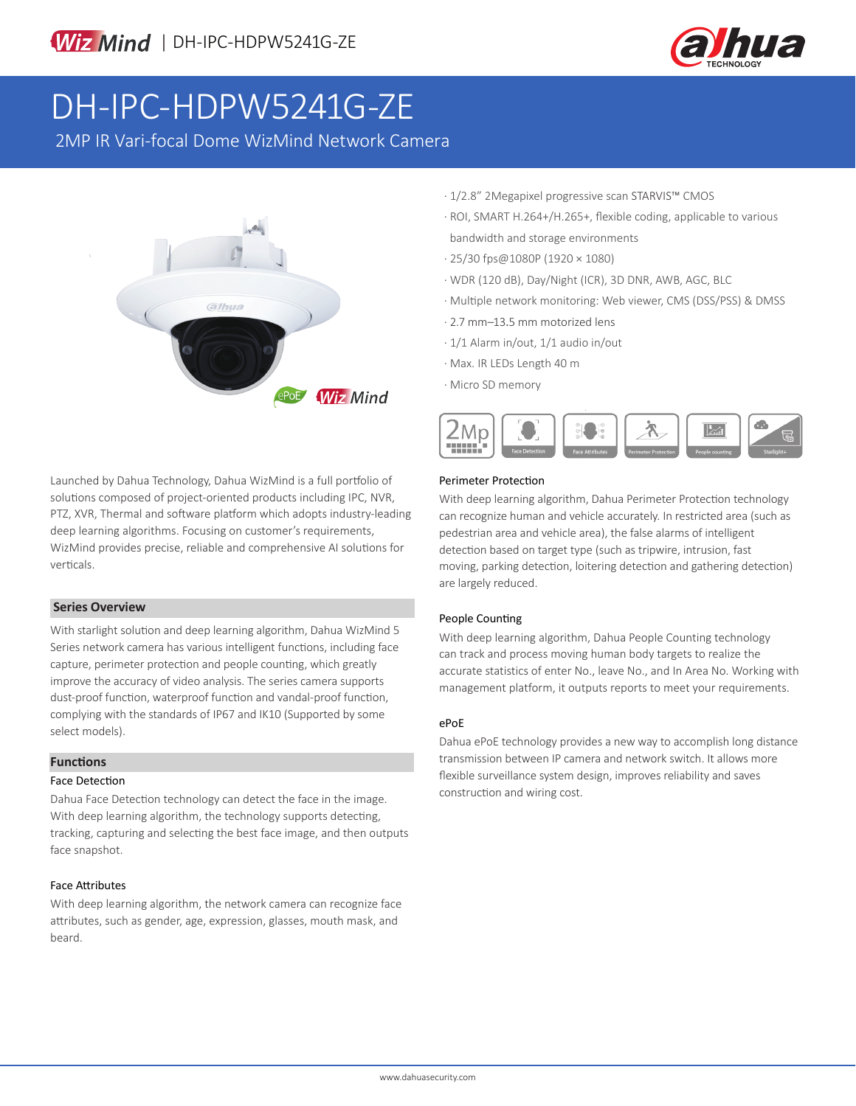

# DH-IPC-HDPW5241G-ZE

2MP IR Vari-focal Dome WizMind Network Camera



Launched by Dahua Technology, Dahua WizMind is a full portfolio of solutions composed of project-oriented products including IPC, NVR, PTZ, XVR, Thermal and software platform which adopts industry-leading deep learning algorithms. Focusing on customer's requirements, WizMind provides precise, reliable and comprehensive AI solutions for verticals.

### **Series Overview**

With starlight solution and deep learning algorithm, Dahua WizMind 5 Series network camera has various intelligent functions, including face capture, perimeter protection and people counting, which greatly improve the accuracy of video analysis. The series camera supports dust-proof function, waterproof function and vandal-proof function, complying with the standards of IP67 and IK10 (Supported by some select models).

### **Functions**

### Face Detection

Dahua Face Detection technology can detect the face in the image. With deep learning algorithm, the technology supports detecting, tracking, capturing and selecting the best face image, and then outputs face snapshot.

### Face Attributes

With deep learning algorithm, the network camera can recognize face attributes, such as gender, age, expression, glasses, mouth mask, and beard.

- · 1/2.8" 2Megapixel progressive scan STARVIS™ CMOS
- · ROI, SMART H.264+/H.265+, flexible coding, applicable to various bandwidth and storage environments
- · 25/30 fps@1080P (1920 × 1080)
- · WDR (120 dB), Day/Night (ICR), 3D DNR, AWB, AGC, BLC
- · Multiple network monitoring: Web viewer, CMS (DSS/PSS) & DMSS
- · 2.7 mm–13.5 mm motorized lens
- · 1/1 Alarm in/out, 1/1 audio in/out
- · Max. IR LEDs Length 40 m
- · Micro SD memory



### Perimeter Protection

With deep learning algorithm, Dahua Perimeter Protection technology can recognize human and vehicle accurately. In restricted area (such as pedestrian area and vehicle area), the false alarms of intelligent detection based on target type (such as tripwire, intrusion, fast moving, parking detection, loitering detection and gathering detection) are largely reduced.

### People Counting

With deep learning algorithm, Dahua People Counting technology can track and process moving human body targets to realize the accurate statistics of enter No., leave No., and In Area No. Working with management platform, it outputs reports to meet your requirements.

### ePoE

Dahua ePoE technology provides a new way to accomplish long distance transmission between IP camera and network switch. It allows more flexible surveillance system design, improves reliability and saves construction and wiring cost.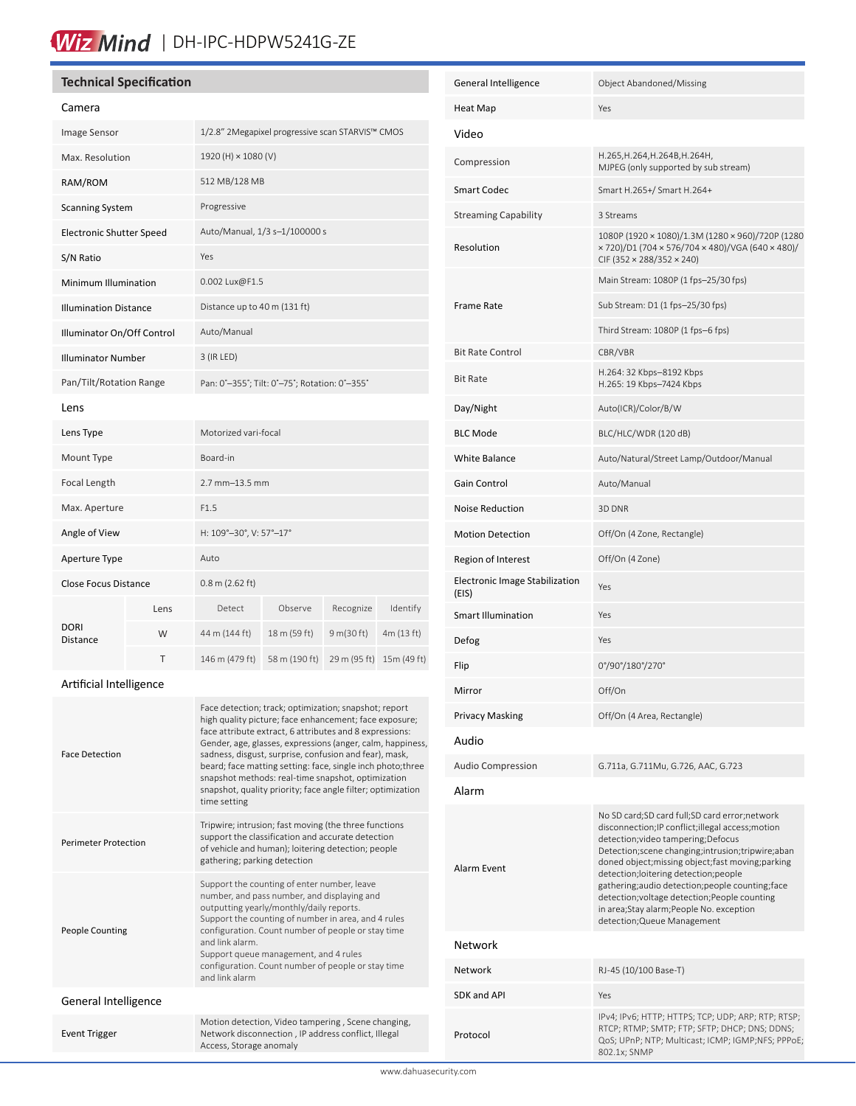### Wiz Mind | DH-IPC-HDPW5241G-ZE

### **Technical Specification**

| Image Sensor                    |      | 1/2.8" 2Megapixel progressive scan STARVIS™ CMOS |               |              |             |
|---------------------------------|------|--------------------------------------------------|---------------|--------------|-------------|
| Max. Resolution                 |      | 1920 (H) × 1080 (V)                              |               |              |             |
| RAM/ROM                         |      | 512 MB/128 MB                                    |               |              |             |
| <b>Scanning System</b>          |      | Progressive                                      |               |              |             |
| <b>Electronic Shutter Speed</b> |      | Auto/Manual, 1/3 s-1/100000 s                    |               |              |             |
| S/N Ratio                       |      | Yes                                              |               |              |             |
| Minimum Illumination            |      | 0.002 Lux@F1.5                                   |               |              |             |
| <b>Illumination Distance</b>    |      | Distance up to 40 m (131 ft)                     |               |              |             |
| Illuminator On/Off Control      |      | Auto/Manual                                      |               |              |             |
| <b>Illuminator Number</b>       |      | 3 (IR LED)                                       |               |              |             |
| Pan/Tilt/Rotation Range         |      | Pan: 0°-355°; Tilt: 0°-75°; Rotation: 0°-355°    |               |              |             |
| Lens                            |      |                                                  |               |              |             |
| Lens Type                       |      | Motorized vari-focal                             |               |              |             |
| Mount Type                      |      | Board-in                                         |               |              |             |
| Focal Length                    |      | 2.7 mm-13.5 mm                                   |               |              |             |
| Max. Aperture                   |      | F1.5                                             |               |              |             |
| Angle of View                   |      | H: 109°-30°, V: 57°-17°                          |               |              |             |
| Aperture Type                   |      | Auto                                             |               |              |             |
| Close Focus Distance            |      | $0.8$ m (2.62 ft)                                |               |              |             |
| <b>DORI</b><br>Distance         | Lens | Detect                                           | Observe       | Recognize    | Identify    |
|                                 | W    | 44 m (144 ft)                                    | 18 m (59 ft)  | 9 m(30 ft)   | 4m (13 ft)  |
|                                 | T    | 146 m (479 ft)                                   | 58 m (190 ft) | 29 m (95 ft) | 15m (49 ft) |

### Artificial Intelligence

| <b>Face Detection</b>       | Face detection; track; optimization; snapshot; report<br>high quality picture; face enhancement; face exposure;<br>face attribute extract, 6 attributes and 8 expressions:<br>Gender, age, glasses, expressions (anger, calm, happiness,<br>sadness, disgust, surprise, confusion and fear), mask,<br>beard; face matting setting: face, single inch photo; three<br>snapshot methods: real-time snapshot, optimization<br>snapshot, quality priority; face angle filter; optimization<br>time setting |
|-----------------------------|--------------------------------------------------------------------------------------------------------------------------------------------------------------------------------------------------------------------------------------------------------------------------------------------------------------------------------------------------------------------------------------------------------------------------------------------------------------------------------------------------------|
| <b>Perimeter Protection</b> | Tripwire; intrusion; fast moving (the three functions<br>support the classification and accurate detection<br>of vehicle and human); loitering detection; people<br>gathering; parking detection                                                                                                                                                                                                                                                                                                       |
| <b>People Counting</b>      | Support the counting of enter number, leave<br>number, and pass number, and displaying and<br>outputting yearly/monthly/daily reports.<br>Support the counting of number in area, and 4 rules<br>configuration. Count number of people or stay time<br>and link alarm<br>Support queue management, and 4 rules<br>configuration. Count number of people or stay time<br>and link alarm                                                                                                                 |
| General Intelligence        |                                                                                                                                                                                                                                                                                                                                                                                                                                                                                                        |
| <b>Event Trigger</b>        | Motion detection, Video tampering, Scene changing,<br>Network disconnection, IP address conflict, Illegal<br>Access, Storage anomaly                                                                                                                                                                                                                                                                                                                                                                   |

| General Intelligence                    | Object Abandoned/Missing                                                                                                                                                                                                                                                                                                                                                                                                                                                      |  |  |  |
|-----------------------------------------|-------------------------------------------------------------------------------------------------------------------------------------------------------------------------------------------------------------------------------------------------------------------------------------------------------------------------------------------------------------------------------------------------------------------------------------------------------------------------------|--|--|--|
| Heat Map                                | Yes                                                                                                                                                                                                                                                                                                                                                                                                                                                                           |  |  |  |
| Video                                   |                                                                                                                                                                                                                                                                                                                                                                                                                                                                               |  |  |  |
| Compression                             | Н.265,Н.264,Н.264В,Н.264Н,<br>MJPEG (only supported by sub stream)                                                                                                                                                                                                                                                                                                                                                                                                            |  |  |  |
| <b>Smart Codec</b>                      | Smart H.265+/ Smart H.264+                                                                                                                                                                                                                                                                                                                                                                                                                                                    |  |  |  |
| <b>Streaming Capability</b>             | 3 Streams                                                                                                                                                                                                                                                                                                                                                                                                                                                                     |  |  |  |
| Resolution                              | 1080P (1920 × 1080)/1.3M (1280 × 960)/720P (1280<br>× 720)/D1 (704 × 576/704 × 480)/VGA (640 × 480)/<br>CIF (352 × 288/352 × 240)                                                                                                                                                                                                                                                                                                                                             |  |  |  |
|                                         | Main Stream: 1080P (1 fps-25/30 fps)                                                                                                                                                                                                                                                                                                                                                                                                                                          |  |  |  |
| Frame Rate                              | Sub Stream: D1 (1 fps-25/30 fps)                                                                                                                                                                                                                                                                                                                                                                                                                                              |  |  |  |
|                                         | Third Stream: 1080P (1 fps-6 fps)                                                                                                                                                                                                                                                                                                                                                                                                                                             |  |  |  |
| <b>Bit Rate Control</b>                 | CBR/VBR                                                                                                                                                                                                                                                                                                                                                                                                                                                                       |  |  |  |
| <b>Bit Rate</b>                         | H.264: 32 Kbps-8192 Kbps<br>H.265: 19 Kbps-7424 Kbps                                                                                                                                                                                                                                                                                                                                                                                                                          |  |  |  |
| Day/Night                               | Auto(ICR)/Color/B/W                                                                                                                                                                                                                                                                                                                                                                                                                                                           |  |  |  |
| <b>BLC Mode</b>                         | BLC/HLC/WDR (120 dB)                                                                                                                                                                                                                                                                                                                                                                                                                                                          |  |  |  |
| White Balance                           | Auto/Natural/Street Lamp/Outdoor/Manual                                                                                                                                                                                                                                                                                                                                                                                                                                       |  |  |  |
| Gain Control                            | Auto/Manual                                                                                                                                                                                                                                                                                                                                                                                                                                                                   |  |  |  |
| <b>Noise Reduction</b>                  | 3D DNR                                                                                                                                                                                                                                                                                                                                                                                                                                                                        |  |  |  |
| <b>Motion Detection</b>                 | Off/On (4 Zone, Rectangle)                                                                                                                                                                                                                                                                                                                                                                                                                                                    |  |  |  |
| Region of Interest                      | Off/On (4 Zone)                                                                                                                                                                                                                                                                                                                                                                                                                                                               |  |  |  |
| Electronic Image Stabilization<br>(EIS) | Yes                                                                                                                                                                                                                                                                                                                                                                                                                                                                           |  |  |  |
| <b>Smart Illumination</b>               | Yes                                                                                                                                                                                                                                                                                                                                                                                                                                                                           |  |  |  |
| Defog                                   | Yes                                                                                                                                                                                                                                                                                                                                                                                                                                                                           |  |  |  |
| Flip                                    | 0°/90°/180°/270°                                                                                                                                                                                                                                                                                                                                                                                                                                                              |  |  |  |
| Mirror                                  | Off/On                                                                                                                                                                                                                                                                                                                                                                                                                                                                        |  |  |  |
| Privacy Masking                         | Off/On (4 Area, Rectangle)                                                                                                                                                                                                                                                                                                                                                                                                                                                    |  |  |  |
| Audio                                   |                                                                                                                                                                                                                                                                                                                                                                                                                                                                               |  |  |  |
| <b>Audio Compression</b>                | G.711a, G.711Mu, G.726, AAC, G.723                                                                                                                                                                                                                                                                                                                                                                                                                                            |  |  |  |
| Alarm                                   |                                                                                                                                                                                                                                                                                                                                                                                                                                                                               |  |  |  |
| Alarm Event                             | No SD card;SD card full;SD card error;network<br>disconnection; IP conflict; illegal access; motion<br>detection; video tampering; Defocus<br>Detection; scene changing; intrusion; tripwire; aban<br>doned object; missing object; fast moving; parking<br>detection;loitering detection;people<br>gathering;audio detection;people counting;face<br>detection; voltage detection; People counting<br>in area;Stay alarm;People No. exception<br>detection; Queue Management |  |  |  |
| Network                                 |                                                                                                                                                                                                                                                                                                                                                                                                                                                                               |  |  |  |
| <b>Network</b>                          | RJ-45 (10/100 Base-T)                                                                                                                                                                                                                                                                                                                                                                                                                                                         |  |  |  |
| SDK and API                             | Yes                                                                                                                                                                                                                                                                                                                                                                                                                                                                           |  |  |  |
| Protocol                                | IPv4; IPv6; HTTP; HTTPS; TCP; UDP; ARP; RTP; RTSP;<br>RTCP; RTMP; SMTP; FTP; SFTP; DHCP; DNS; DDNS;<br>QoS; UPnP; NTP; Multicast; ICMP; IGMP;NFS; PPPoE;<br>802.1x; SNMP                                                                                                                                                                                                                                                                                                      |  |  |  |